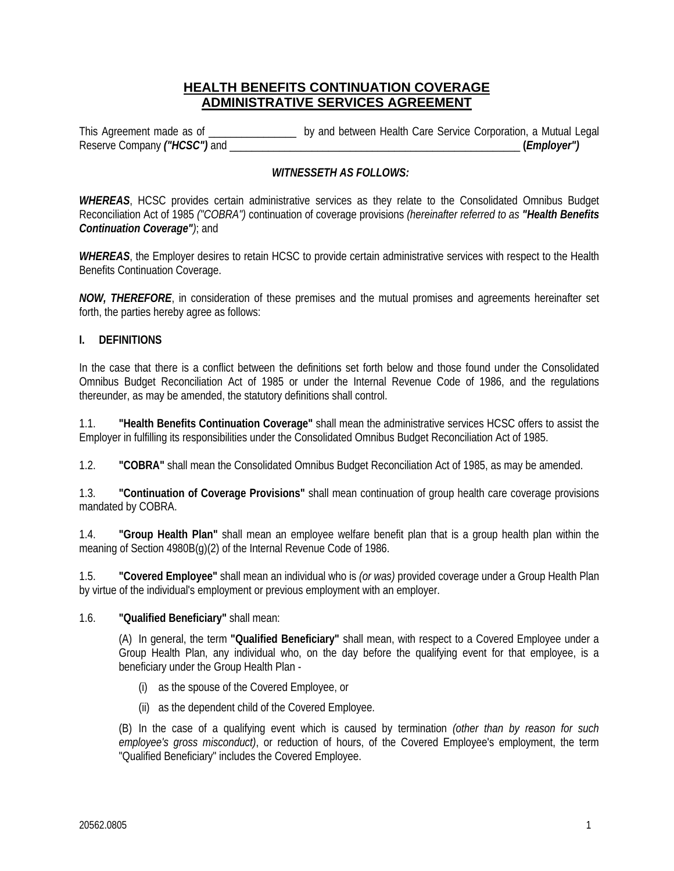## **HEALTH BENEFITS CONTINUATION COVERAGE ADMINISTRATIVE SERVICES AGREEMENT**

This Agreement made as of \_\_\_\_\_\_\_\_\_\_\_\_\_\_\_\_ by and between Health Care Service Corporation, a Mutual Legal Reserve Company *("HCSC")* and \_\_\_\_\_\_\_\_\_\_\_\_\_\_\_\_\_\_\_\_\_\_\_\_\_\_\_\_\_\_\_\_\_\_\_\_\_\_\_\_\_\_\_\_\_\_\_\_\_\_\_\_\_ **(***Employer")* 

### *WITNESSETH AS FOLLOWS:*

*WHEREAS*, HCSC provides certain administrative services as they relate to the Consolidated Omnibus Budget Reconciliation Act of 1985 *("COBRA")* continuation of coverage provisions *(hereinafter referred to as "Health Benefits Continuation Coverage")*; and

*WHEREAS*, the Employer desires to retain HCSC to provide certain administrative services with respect to the Health Benefits Continuation Coverage.

*NOW, THEREFORE*, in consideration of these premises and the mutual promises and agreements hereinafter set forth, the parties hereby agree as follows:

#### **I. DEFINITIONS**

In the case that there is a conflict between the definitions set forth below and those found under the Consolidated Omnibus Budget Reconciliation Act of 1985 or under the Internal Revenue Code of 1986, and the regulations thereunder, as may be amended, the statutory definitions shall control.

1.1. **"Health Benefits Continuation Coverage"** shall mean the administrative services HCSC offers to assist the Employer in fulfilling its responsibilities under the Consolidated Omnibus Budget Reconciliation Act of 1985.

1.2. **"COBRA"** shall mean the Consolidated Omnibus Budget Reconciliation Act of 1985, as may be amended.

1.3. **"Continuation of Coverage Provisions"** shall mean continuation of group health care coverage provisions mandated by COBRA.

1.4. **"Group Health Plan"** shall mean an employee welfare benefit plan that is a group health plan within the meaning of Section 4980B(g)(2) of the Internal Revenue Code of 1986.

1.5. **"Covered Employee"** shall mean an individual who is *(or was)* provided coverage under a Group Health Plan by virtue of the individual's employment or previous employment with an employer.

#### 1.6. **"Qualified Beneficiary"** shall mean:

(A) In general, the term **"Qualified Beneficiary"** shall mean, with respect to a Covered Employee under a Group Health Plan, any individual who, on the day before the qualifying event for that employee, is a beneficiary under the Group Health Plan -

- (i) as the spouse of the Covered Employee, or
- (ii) as the dependent child of the Covered Employee.

 (B) In the case of a qualifying event which is caused by termination *(other than by reason for such employee's gross misconduct)*, or reduction of hours, of the Covered Employee's employment, the term "Qualified Beneficiary" includes the Covered Employee.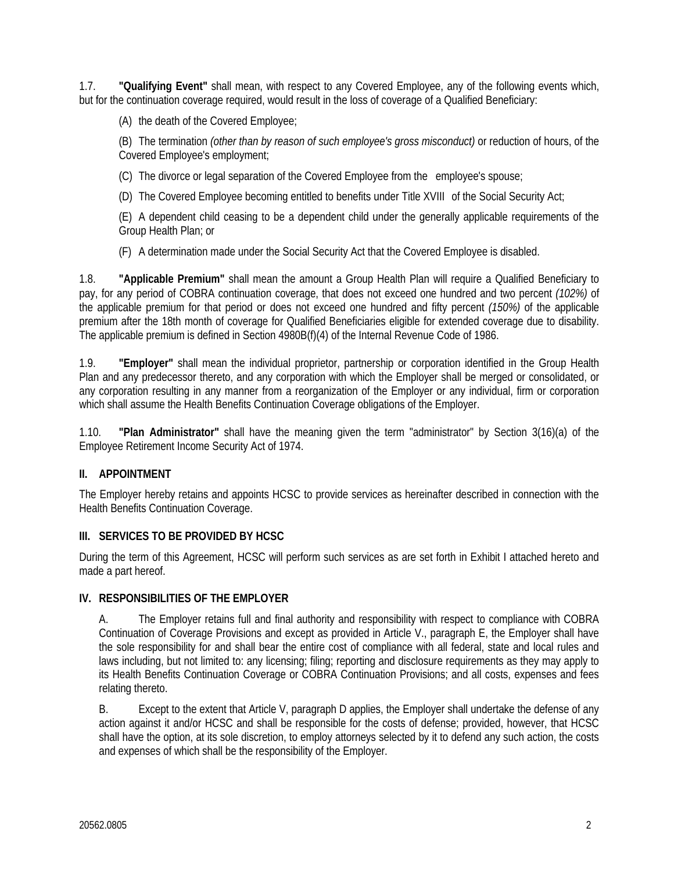1.7. **"Qualifying Event"** shall mean, with respect to any Covered Employee, any of the following events which, but for the continuation coverage required, would result in the loss of coverage of a Qualified Beneficiary:

(A) the death of the Covered Employee;

(B) The termination *(other than by reason of such employee's gross misconduct)* or reduction of hours, of the Covered Employee's employment;

(C) The divorce or legal separation of the Covered Employee from the employee's spouse;

(D) The Covered Employee becoming entitled to benefits under Title XVIII of the Social Security Act;

(E) A dependent child ceasing to be a dependent child under the generally applicable requirements of the Group Health Plan; or

(F) A determination made under the Social Security Act that the Covered Employee is disabled.

1.8. **"Applicable Premium"** shall mean the amount a Group Health Plan will require a Qualified Beneficiary to pay, for any period of COBRA continuation coverage, that does not exceed one hundred and two percent *(102%)* of the applicable premium for that period or does not exceed one hundred and fifty percent *(150%)* of the applicable premium after the 18th month of coverage for Qualified Beneficiaries eligible for extended coverage due to disability. The applicable premium is defined in Section 4980B(f)(4) of the Internal Revenue Code of 1986.

1.9. **"Employer"** shall mean the individual proprietor, partnership or corporation identified in the Group Health Plan and any predecessor thereto, and any corporation with which the Employer shall be merged or consolidated, or any corporation resulting in any manner from a reorganization of the Employer or any individual, firm or corporation which shall assume the Health Benefits Continuation Coverage obligations of the Employer.

1.10. **"Plan Administrator"** shall have the meaning given the term "administrator" by Section 3(16)(a) of the Employee Retirement Income Security Act of 1974.

## **II. APPOINTMENT**

The Employer hereby retains and appoints HCSC to provide services as hereinafter described in connection with the Health Benefits Continuation Coverage.

#### **III. SERVICES TO BE PROVIDED BY HCSC**

During the term of this Agreement, HCSC will perform such services as are set forth in Exhibit I attached hereto and made a part hereof.

#### **IV. RESPONSIBILITIES OF THE EMPLOYER**

A. The Employer retains full and final authority and responsibility with respect to compliance with COBRA Continuation of Coverage Provisions and except as provided in Article V., paragraph E, the Employer shall have the sole responsibility for and shall bear the entire cost of compliance with all federal, state and local rules and laws including, but not limited to: any licensing; filing; reporting and disclosure requirements as they may apply to its Health Benefits Continuation Coverage or COBRA Continuation Provisions; and all costs, expenses and fees relating thereto.

B. Except to the extent that Article V, paragraph D applies, the Employer shall undertake the defense of any action against it and/or HCSC and shall be responsible for the costs of defense; provided, however, that HCSC shall have the option, at its sole discretion, to employ attorneys selected by it to defend any such action, the costs and expenses of which shall be the responsibility of the Employer.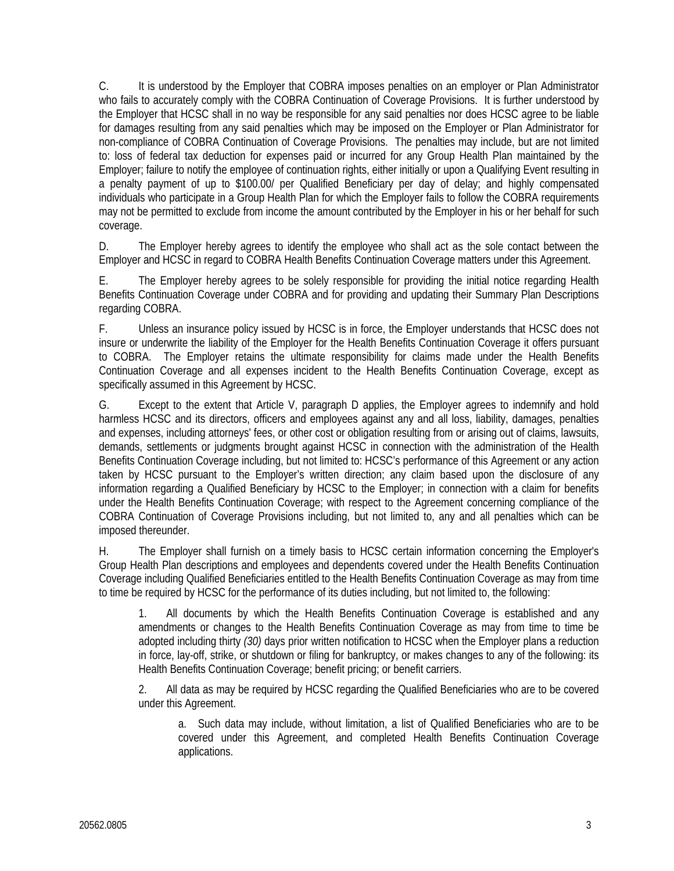C. It is understood by the Employer that COBRA imposes penalties on an employer or Plan Administrator who fails to accurately comply with the COBRA Continuation of Coverage Provisions. It is further understood by the Employer that HCSC shall in no way be responsible for any said penalties nor does HCSC agree to be liable for damages resulting from any said penalties which may be imposed on the Employer or Plan Administrator for non-compliance of COBRA Continuation of Coverage Provisions. The penalties may include, but are not limited to: loss of federal tax deduction for expenses paid or incurred for any Group Health Plan maintained by the Employer; failure to notify the employee of continuation rights, either initially or upon a Qualifying Event resulting in a penalty payment of up to \$100.00/ per Qualified Beneficiary per day of delay; and highly compensated individuals who participate in a Group Health Plan for which the Employer fails to follow the COBRA requirements may not be permitted to exclude from income the amount contributed by the Employer in his or her behalf for such coverage.

D. The Employer hereby agrees to identify the employee who shall act as the sole contact between the Employer and HCSC in regard to COBRA Health Benefits Continuation Coverage matters under this Agreement.

 E. The Employer hereby agrees to be solely responsible for providing the initial notice regarding Health Benefits Continuation Coverage under COBRA and for providing and updating their Summary Plan Descriptions regarding COBRA.

F. Unless an insurance policy issued by HCSC is in force, the Employer understands that HCSC does not insure or underwrite the liability of the Employer for the Health Benefits Continuation Coverage it offers pursuant to COBRA. The Employer retains the ultimate responsibility for claims made under the Health Benefits Continuation Coverage and all expenses incident to the Health Benefits Continuation Coverage, except as specifically assumed in this Agreement by HCSC.

G. Except to the extent that Article V, paragraph D applies, the Employer agrees to indemnify and hold harmless HCSC and its directors, officers and employees against any and all loss, liability, damages, penalties and expenses, including attorneys' fees, or other cost or obligation resulting from or arising out of claims, lawsuits, demands, settlements or judgments brought against HCSC in connection with the administration of the Health Benefits Continuation Coverage including, but not limited to: HCSC's performance of this Agreement or any action taken by HCSC pursuant to the Employer's written direction; any claim based upon the disclosure of any information regarding a Qualified Beneficiary by HCSC to the Employer; in connection with a claim for benefits under the Health Benefits Continuation Coverage; with respect to the Agreement concerning compliance of the COBRA Continuation of Coverage Provisions including, but not limited to, any and all penalties which can be imposed thereunder.

H. The Employer shall furnish on a timely basis to HCSC certain information concerning the Employer's Group Health Plan descriptions and employees and dependents covered under the Health Benefits Continuation Coverage including Qualified Beneficiaries entitled to the Health Benefits Continuation Coverage as may from time to time be required by HCSC for the performance of its duties including, but not limited to, the following:

1. All documents by which the Health Benefits Continuation Coverage is established and any amendments or changes to the Health Benefits Continuation Coverage as may from time to time be adopted including thirty *(30)* days prior written notification to HCSC when the Employer plans a reduction in force, lay-off, strike, or shutdown or filing for bankruptcy, or makes changes to any of the following: its Health Benefits Continuation Coverage; benefit pricing; or benefit carriers.

2. All data as may be required by HCSC regarding the Qualified Beneficiaries who are to be covered under this Agreement.

a. Such data may include, without limitation, a list of Qualified Beneficiaries who are to be covered under this Agreement, and completed Health Benefits Continuation Coverage applications.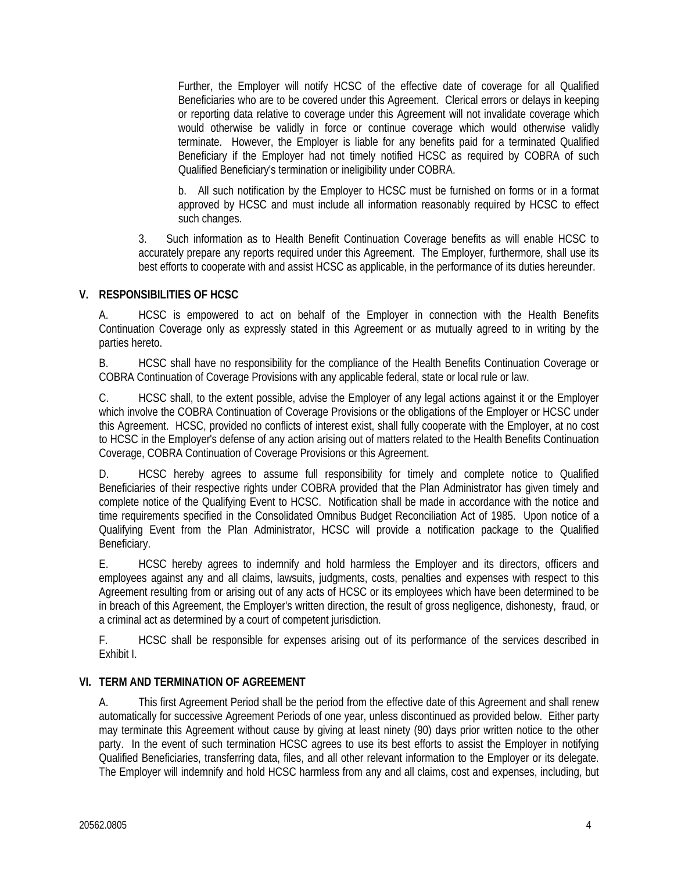Further, the Employer will notify HCSC of the effective date of coverage for all Qualified Beneficiaries who are to be covered under this Agreement. Clerical errors or delays in keeping or reporting data relative to coverage under this Agreement will not invalidate coverage which would otherwise be validly in force or continue coverage which would otherwise validly terminate. However, the Employer is liable for any benefits paid for a terminated Qualified Beneficiary if the Employer had not timely notified HCSC as required by COBRA of such Qualified Beneficiary's termination or ineligibility under COBRA.

b. All such notification by the Employer to HCSC must be furnished on forms or in a format approved by HCSC and must include all information reasonably required by HCSC to effect such changes.

3. Such information as to Health Benefit Continuation Coverage benefits as will enable HCSC to accurately prepare any reports required under this Agreement. The Employer, furthermore, shall use its best efforts to cooperate with and assist HCSC as applicable, in the performance of its duties hereunder.

### **V. RESPONSIBILITIES OF HCSC**

A. HCSC is empowered to act on behalf of the Employer in connection with the Health Benefits Continuation Coverage only as expressly stated in this Agreement or as mutually agreed to in writing by the parties hereto.

B. HCSC shall have no responsibility for the compliance of the Health Benefits Continuation Coverage or COBRA Continuation of Coverage Provisions with any applicable federal, state or local rule or law.

C. HCSC shall, to the extent possible, advise the Employer of any legal actions against it or the Employer which involve the COBRA Continuation of Coverage Provisions or the obligations of the Employer or HCSC under this Agreement. HCSC, provided no conflicts of interest exist, shall fully cooperate with the Employer, at no cost to HCSC in the Employer's defense of any action arising out of matters related to the Health Benefits Continuation Coverage, COBRA Continuation of Coverage Provisions or this Agreement.

D. HCSC hereby agrees to assume full responsibility for timely and complete notice to Qualified Beneficiaries of their respective rights under COBRA provided that the Plan Administrator has given timely and complete notice of the Qualifying Event to HCSC. Notification shall be made in accordance with the notice and time requirements specified in the Consolidated Omnibus Budget Reconciliation Act of 1985. Upon notice of a Qualifying Event from the Plan Administrator, HCSC will provide a notification package to the Qualified Beneficiary.

E. HCSC hereby agrees to indemnify and hold harmless the Employer and its directors, officers and employees against any and all claims, lawsuits, judgments, costs, penalties and expenses with respect to this Agreement resulting from or arising out of any acts of HCSC or its employees which have been determined to be in breach of this Agreement, the Employer's written direction, the result of gross negligence, dishonesty, fraud, or a criminal act as determined by a court of competent jurisdiction.

F. HCSC shall be responsible for expenses arising out of its performance of the services described in Exhibit I.

#### **VI. TERM AND TERMINATION OF AGREEMENT**

A. This first Agreement Period shall be the period from the effective date of this Agreement and shall renew automatically for successive Agreement Periods of one year, unless discontinued as provided below. Either party may terminate this Agreement without cause by giving at least ninety (90) days prior written notice to the other party. In the event of such termination HCSC agrees to use its best efforts to assist the Employer in notifying Qualified Beneficiaries, transferring data, files, and all other relevant information to the Employer or its delegate. The Employer will indemnify and hold HCSC harmless from any and all claims, cost and expenses, including, but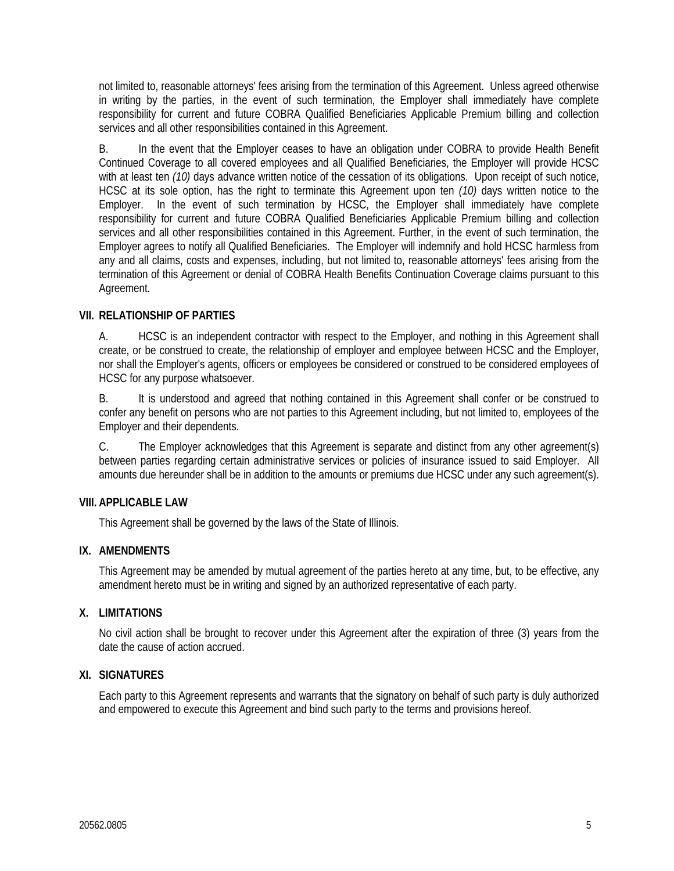not limited to, reasonable attorneys' fees arising from the termination of this Agreement. Unless agreed otherwise in writing by the parties, in the event of such termination, the Employer shall immediately have complete responsibility for current and future COBRA Qualified Beneficiaries Applicable Premium billing and collection services and all other responsibilities contained in this Agreement.

B. In the event that the Employer ceases to have an obligation under COBRA to provide Health Benefit Continued Coverage to all covered employees and all Qualified Beneficiaries, the Employer will provide HCSC with at least ten *(10)* days advance written notice of the cessation of its obligations. Upon receipt of such notice, HCSC at its sole option, has the right to terminate this Agreement upon ten *(10)* days written notice to the Employer. In the event of such termination by HCSC, the Employer shall immediately have complete responsibility for current and future COBRA Qualified Beneficiaries Applicable Premium billing and collection services and all other responsibilities contained in this Agreement. Further, in the event of such termination, the Employer agrees to notify all Qualified Beneficiaries. The Employer will indemnify and hold HCSC harmless from any and all claims, costs and expenses, including, but not limited to, reasonable attorneys' fees arising from the termination of this Agreement or denial of COBRA Health Benefits Continuation Coverage claims pursuant to this Agreement.

#### **VII. RELATIONSHIP OF PARTIES**

A. HCSC is an independent contractor with respect to the Employer, and nothing in this Agreement shall create, or be construed to create, the relationship of employer and employee between HCSC and the Employer, nor shall the Employer's agents, officers or employees be considered or construed to be considered employees of HCSC for any purpose whatsoever.

B. It is understood and agreed that nothing contained in this Agreement shall confer or be construed to confer any benefit on persons who are not parties to this Agreement including, but not limited to, employees of the Employer and their dependents.

C. The Employer acknowledges that this Agreement is separate and distinct from any other agreement(s) between parties regarding certain administrative services or policies of insurance issued to said Employer. All amounts due hereunder shall be in addition to the amounts or premiums due HCSC under any such agreement(s).

#### **VIII. APPLICABLE LAW**

This Agreement shall be governed by the laws of the State of Illinois.

#### **IX. AMENDMENTS**

 This Agreement may be amended by mutual agreement of the parties hereto at any time, but, to be effective, any amendment hereto must be in writing and signed by an authorized representative of each party.

#### **X. LIMITATIONS**

No civil action shall be brought to recover under this Agreement after the expiration of three (3) years from the date the cause of action accrued.

#### **XI. SIGNATURES**

Each party to this Agreement represents and warrants that the signatory on behalf of such party is duly authorized and empowered to execute this Agreement and bind such party to the terms and provisions hereof.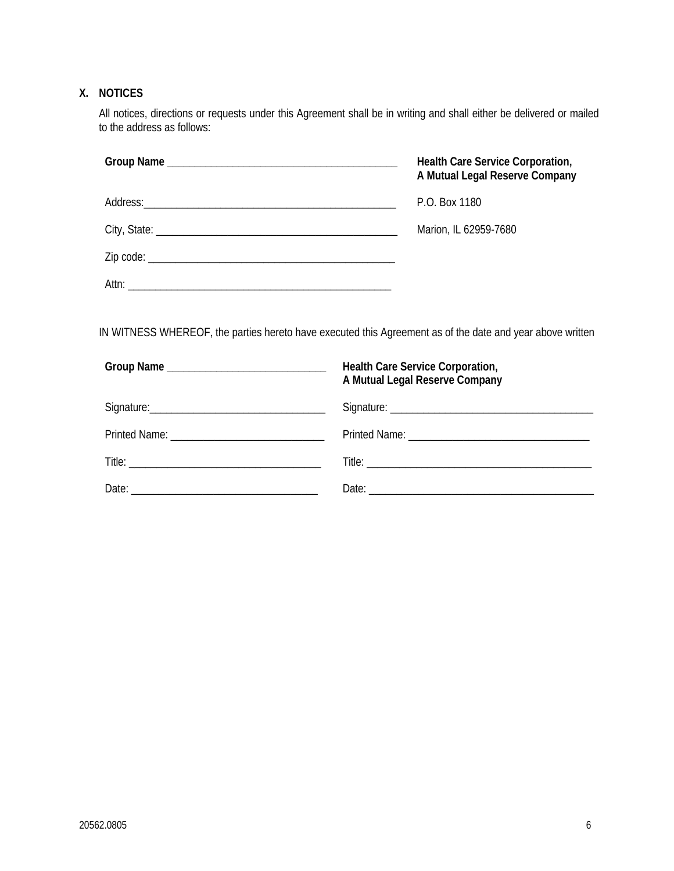# **X. NOTICES**

All notices, directions or requests under this Agreement shall be in writing and shall either be delivered or mailed to the address as follows:

| Health Care Service Corporation,<br>A Mutual Legal Reserve Company |
|--------------------------------------------------------------------|
| P.O. Box 1180                                                      |
| Marion, IL 62959-7680                                              |
|                                                                    |
|                                                                    |

IN WITNESS WHEREOF, the parties hereto have executed this Agreement as of the date and year above written

| Group Name __________________________________ | Health Care Service Corporation,<br>A Mutual Legal Reserve Company |
|-----------------------------------------------|--------------------------------------------------------------------|
|                                               |                                                                    |
|                                               |                                                                    |
|                                               |                                                                    |
|                                               |                                                                    |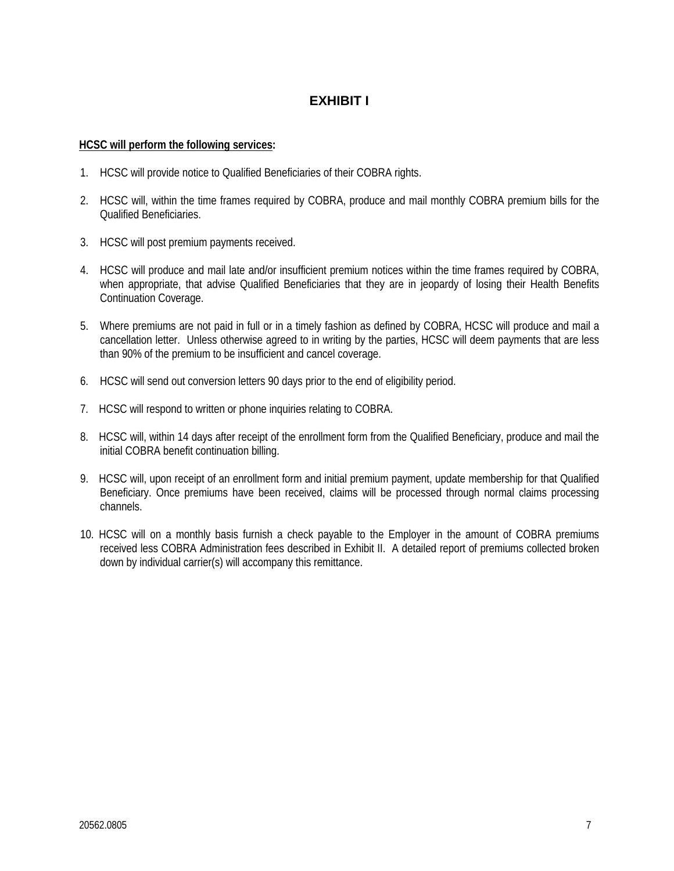# **EXHIBIT I**

#### **HCSC will perform the following services:**

- 1. HCSC will provide notice to Qualified Beneficiaries of their COBRA rights.
- 2. HCSC will, within the time frames required by COBRA, produce and mail monthly COBRA premium bills for the Qualified Beneficiaries.
- 3. HCSC will post premium payments received.
- 4. HCSC will produce and mail late and/or insufficient premium notices within the time frames required by COBRA, when appropriate, that advise Qualified Beneficiaries that they are in jeopardy of losing their Health Benefits Continuation Coverage.
- 5. Where premiums are not paid in full or in a timely fashion as defined by COBRA, HCSC will produce and mail a cancellation letter. Unless otherwise agreed to in writing by the parties, HCSC will deem payments that are less than 90% of the premium to be insufficient and cancel coverage.
- 6. HCSC will send out conversion letters 90 days prior to the end of eligibility period.
- 7. HCSC will respond to written or phone inquiries relating to COBRA.
- 8. HCSC will, within 14 days after receipt of the enrollment form from the Qualified Beneficiary, produce and mail the initial COBRA benefit continuation billing.
- 9. HCSC will, upon receipt of an enrollment form and initial premium payment, update membership for that Qualified Beneficiary. Once premiums have been received, claims will be processed through normal claims processing channels.
- 10. HCSC will on a monthly basis furnish a check payable to the Employer in the amount of COBRA premiums received less COBRA Administration fees described in Exhibit II. A detailed report of premiums collected broken down by individual carrier(s) will accompany this remittance.